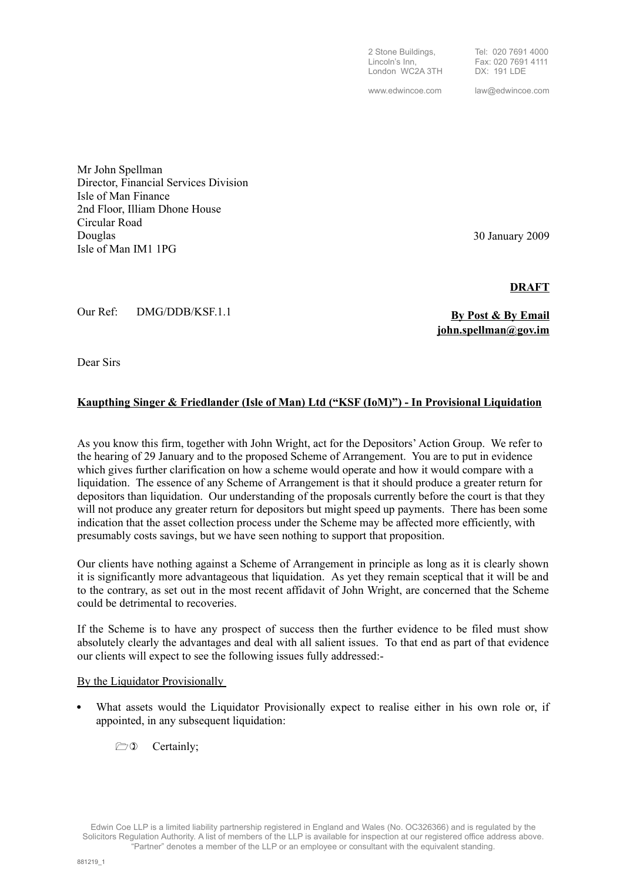2 Stone Buildings, Tel: 020 7691 4000 London WC2A 3TH

Fax: 020 7691 4111<br>DX: 191 LDE

www.edwincoe.com law@edwincoe.com

Mr John Spellman Director, Financial Services Division Isle of Man Finance 2nd Floor, Illiam Dhone House Circular Road Douglas Isle of Man IM1 1PG

30 January 2009

**DRAFT**

Our Ref: DMG/DDB/KSF 1-1

**By Post & By Email john.spellman@gov.im**

Dear Sirs

## **Kaupthing Singer & Friedlander (Isle of Man) Ltd ("KSF (IoM)") - In Provisional Liquidation**

As you know this firm, together with John Wright, act for the Depositors' Action Group. We refer to the hearing of 29 January and to the proposed Scheme of Arrangement. You are to put in evidence which gives further clarification on how a scheme would operate and how it would compare with a liquidation. The essence of any Scheme of Arrangement is that it should produce a greater return for depositors than liquidation. Our understanding of the proposals currently before the court is that they will not produce any greater return for depositors but might speed up payments. There has been some indication that the asset collection process under the Scheme may be affected more efficiently, with presumably costs savings, but we have seen nothing to support that proposition.

Our clients have nothing against a Scheme of Arrangement in principle as long as it is clearly shown it is significantly more advantageous that liquidation. As yet they remain sceptical that it will be and to the contrary, as set out in the most recent affidavit of John Wright, are concerned that the Scheme could be detrimental to recoveries.

If the Scheme is to have any prospect of success then the further evidence to be filed must show absolutely clearly the advantages and deal with all salient issues. To that end as part of that evidence our clients will expect to see the following issues fully addressed:-

## By the Liquidator Provisionally

 What assets would the Liquidator Provisionally expect to realise either in his own role or, if appointed, in any subsequent liquidation:

 $\Box$  O Certainly: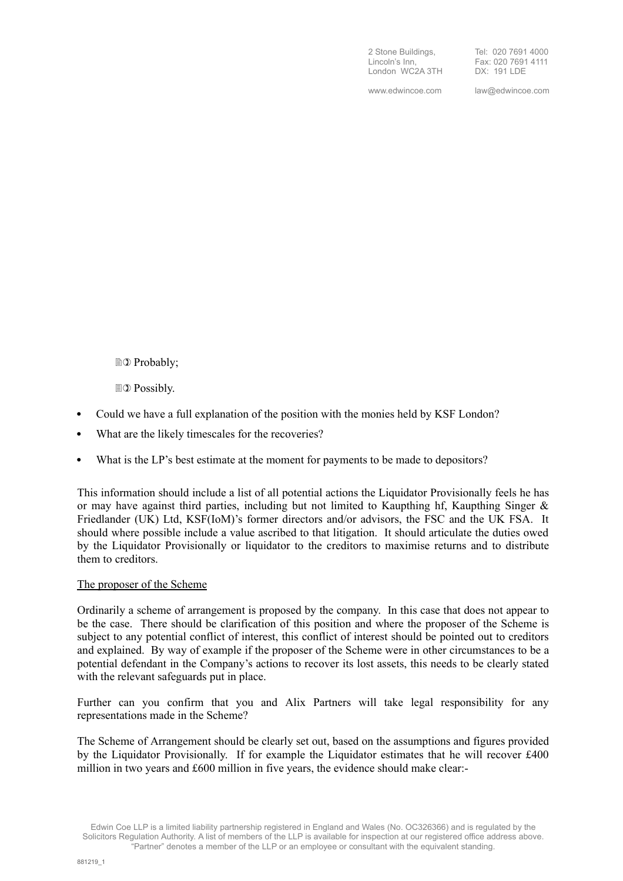2 Stone Buildings, Tel: 020 7691 4000<br>
Lincoln's Inn Fax: 020 7691 4111 London WC2A 3TH

Fax: 020 7691 4111<br>DX: 191 LDE

www.edwincoe.com law@edwincoe.com

**A** Probably;

**I D** Possibly.

- Could we have a full explanation of the position with the monies held by KSF London?
- What are the likely timescales for the recoveries?
- What is the LP's best estimate at the moment for payments to be made to depositors?

This information should include a list of all potential actions the Liquidator Provisionally feels he has or may have against third parties, including but not limited to Kaupthing hf, Kaupthing Singer & Friedlander (UK) Ltd, KSF(IoM)'s former directors and/or advisors, the FSC and the UK FSA. It should where possible include a value ascribed to that litigation. It should articulate the duties owed by the Liquidator Provisionally or liquidator to the creditors to maximise returns and to distribute them to creditors.

## The proposer of the Scheme

Ordinarily a scheme of arrangement is proposed by the company. In this case that does not appear to be the case. There should be clarification of this position and where the proposer of the Scheme is subject to any potential conflict of interest, this conflict of interest should be pointed out to creditors and explained. By way of example if the proposer of the Scheme were in other circumstances to be a potential defendant in the Company's actions to recover its lost assets, this needs to be clearly stated with the relevant safeguards put in place.

Further can you confirm that you and Alix Partners will take legal responsibility for any representations made in the Scheme?

The Scheme of Arrangement should be clearly set out, based on the assumptions and figures provided by the Liquidator Provisionally. If for example the Liquidator estimates that he will recover £400 million in two years and £600 million in five years, the evidence should make clear:-

Edwin Coe LLP is a limited liability partnership registered in England and Wales (No. OC326366) and is regulated by the Solicitors Regulation Authority. A list of members of the LLP is available for inspection at our registered office address above. "Partner" denotes a member of the LLP or an employee or consultant with the equivalent standing.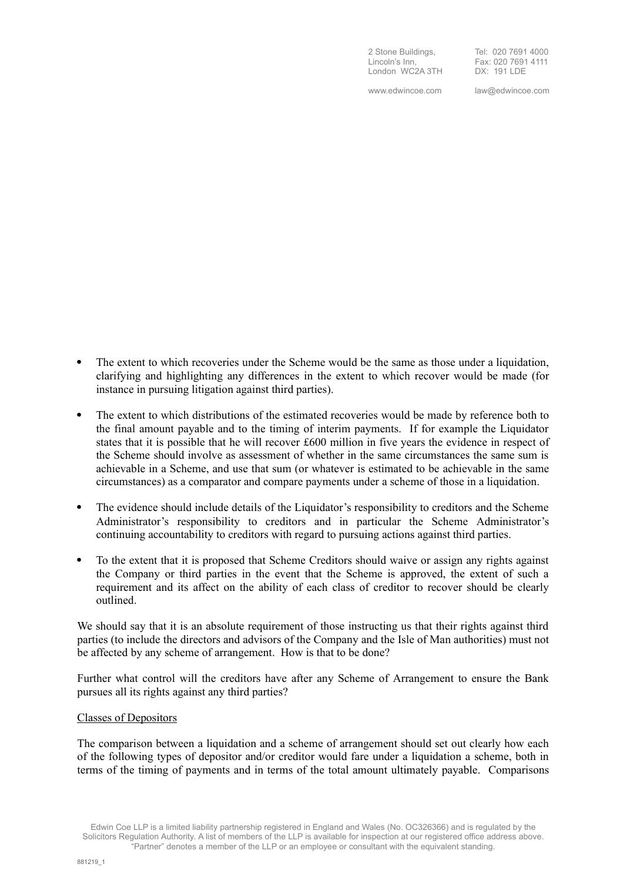2 Stone Buildings, Tel: 020 7691 4000 London WC2A 3TH

Fax: 020 7691 4111<br>DX: 191 LDE

www.edwincoe.com law@edwincoe.com

- The extent to which recoveries under the Scheme would be the same as those under a liquidation, clarifying and highlighting any differences in the extent to which recover would be made (for instance in pursuing litigation against third parties).
- The extent to which distributions of the estimated recoveries would be made by reference both to the final amount payable and to the timing of interim payments. If for example the Liquidator states that it is possible that he will recover £600 million in five years the evidence in respect of the Scheme should involve as assessment of whether in the same circumstances the same sum is achievable in a Scheme, and use that sum (or whatever is estimated to be achievable in the same circumstances) as a comparator and compare payments under a scheme of those in a liquidation.
- The evidence should include details of the Liquidator's responsibility to creditors and the Scheme Administrator's responsibility to creditors and in particular the Scheme Administrator's continuing accountability to creditors with regard to pursuing actions against third parties.
- To the extent that it is proposed that Scheme Creditors should waive or assign any rights against the Company or third parties in the event that the Scheme is approved, the extent of such a requirement and its affect on the ability of each class of creditor to recover should be clearly outlined.

We should say that it is an absolute requirement of those instructing us that their rights against third parties (to include the directors and advisors of the Company and the Isle of Man authorities) must not be affected by any scheme of arrangement. How is that to be done?

Further what control will the creditors have after any Scheme of Arrangement to ensure the Bank pursues all its rights against any third parties?

## Classes of Depositors

The comparison between a liquidation and a scheme of arrangement should set out clearly how each of the following types of depositor and/or creditor would fare under a liquidation a scheme, both in terms of the timing of payments and in terms of the total amount ultimately payable. Comparisons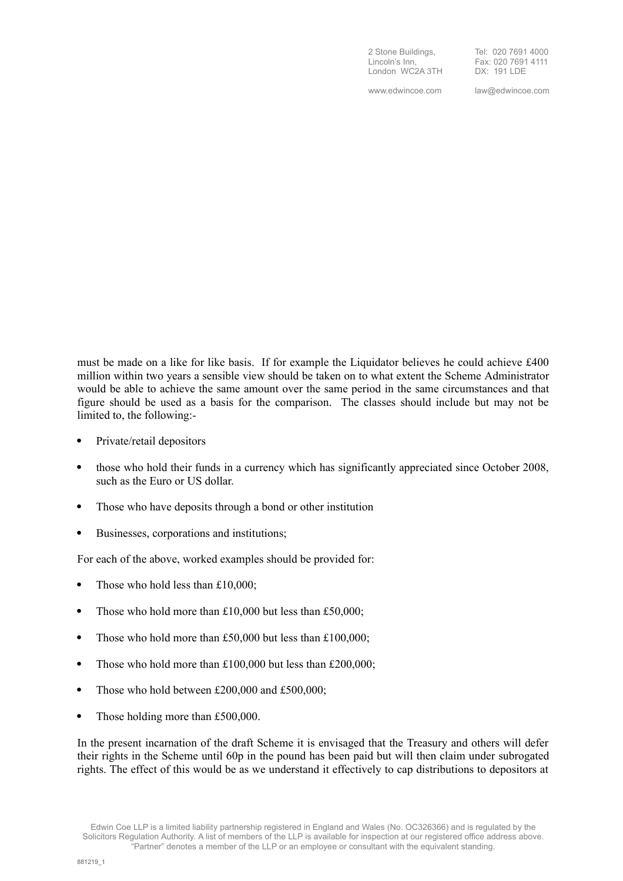2 Stone Buildings, Tel: 020 7691 4000 London WC2A 3TH

Fax: 020 7691 4111<br>DX: 191 LDE

www.edwincoe.com law@edwincoe.com

must be made on a like for like basis. If for example the Liquidator believes he could achieve £400 million within two years a sensible view should be taken on to what extent the Scheme Administrator would be able to achieve the same amount over the same period in the same circumstances and that figure should be used as a basis for the comparison. The classes should include but may not be limited to, the following:-

- Private/retail depositors
- those who hold their funds in a currency which has significantly appreciated since October 2008, such as the Euro or US dollar.
- Those who have deposits through a bond or other institution
- Businesses, corporations and institutions;

For each of the above, worked examples should be provided for:

- Those who hold less than £10,000;
- Those who hold more than  $£10,000$  but less than  $£50,000$ ;
- Those who hold more than £50,000 but less than £100,000;
- Those who hold more than £100,000 but less than £200,000;
- Those who hold between £200,000 and £500,000;
- Those holding more than £500,000.

In the present incarnation of the draft Scheme it is envisaged that the Treasury and others will defer their rights in the Scheme until 60p in the pound has been paid but will then claim under subrogated rights. The effect of this would be as we understand it effectively to cap distributions to depositors at